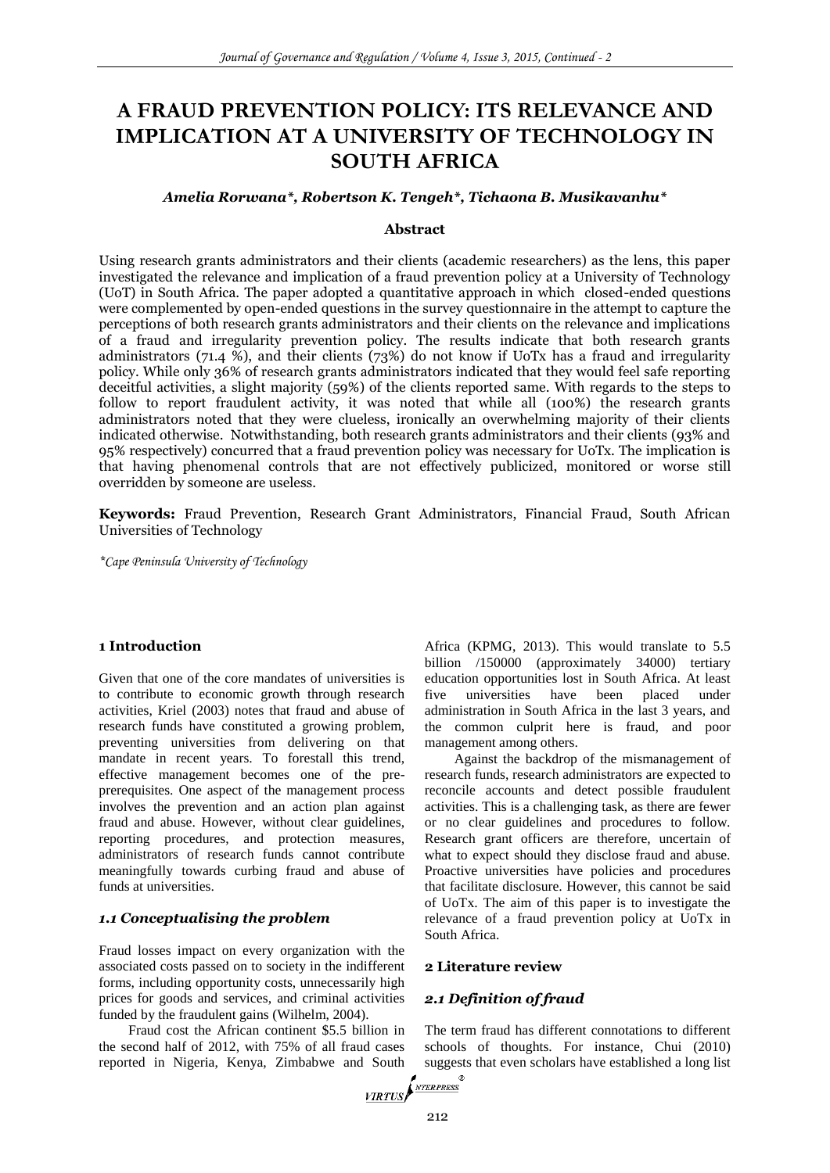# **A FRAUD PREVENTION POLICY: ITS RELEVANCE AND IMPLICATION AT A UNIVERSITY OF TECHNOLOGY IN SOUTH AFRICA**

#### *Amelia Rorwana\*, Robertson K. Tengeh\*, Tichaona B. Musikavanhu\**

#### **Abstract**

Using research grants administrators and their clients (academic researchers) as the lens, this paper investigated the relevance and implication of a fraud prevention policy at a University of Technology (UoT) in South Africa. The paper adopted a quantitative approach in which closed-ended questions were complemented by open-ended questions in the survey questionnaire in the attempt to capture the perceptions of both research grants administrators and their clients on the relevance and implications of a fraud and irregularity prevention policy. The results indicate that both research grants administrators (71.4 %), and their clients (73%) do not know if UoTx has a fraud and irregularity policy. While only 36% of research grants administrators indicated that they would feel safe reporting deceitful activities, a slight majority (59%) of the clients reported same. With regards to the steps to follow to report fraudulent activity, it was noted that while all (100%) the research grants administrators noted that they were clueless, ironically an overwhelming majority of their clients indicated otherwise. Notwithstanding, both research grants administrators and their clients (93% and 95% respectively) concurred that a fraud prevention policy was necessary for UoTx. The implication is that having phenomenal controls that are not effectively publicized, monitored or worse still overridden by someone are useless.

**Keywords:** Fraud Prevention, Research Grant Administrators, Financial Fraud, South African Universities of Technology

*\*Cape Peninsula University of Technology* 

#### **1 Introduction**

Given that one of the core mandates of universities is to contribute to economic growth through research activities, Kriel (2003) notes that fraud and abuse of research funds have constituted a growing problem, preventing universities from delivering on that mandate in recent years. To forestall this trend, effective management becomes one of the preprerequisites. One aspect of the management process involves the prevention and an action plan against fraud and abuse. However, without clear guidelines, reporting procedures, and protection measures, administrators of research funds cannot contribute meaningfully towards curbing fraud and abuse of funds at universities.

#### *1.1 Conceptualising the problem*

Fraud losses impact on every organization with the associated costs passed on to society in the indifferent forms, including opportunity costs, unnecessarily high prices for goods and services, and criminal activities funded by the fraudulent gains (Wilhelm, 2004).

Fraud cost the African continent \$5.5 billion in the second half of 2012, with 75% of all fraud cases reported in Nigeria, Kenya, Zimbabwe and South sugges

Africa (KPMG, 2013). This would translate to 5.5 billion /150000 (approximately 34000) tertiary education opportunities lost in South Africa. At least five universities have been placed under administration in South Africa in the last 3 years, and the common culprit here is fraud, and poor management among others.

Against the backdrop of the mismanagement of research funds, research administrators are expected to reconcile accounts and detect possible fraudulent activities. This is a challenging task, as there are fewer or no clear guidelines and procedures to follow. Research grant officers are therefore, uncertain of what to expect should they disclose fraud and abuse. Proactive universities have policies and procedures that facilitate disclosure. However, this cannot be said of UoTx. The aim of this paper is to investigate the relevance of a fraud prevention policy at UoTx in South Africa.

#### **2 Literature review**

#### *2.1 Definition of fraud*

The term fraud has different connotations to different schools of thoughts. For instance, Chui (2010) suggests that even scholars have established a long list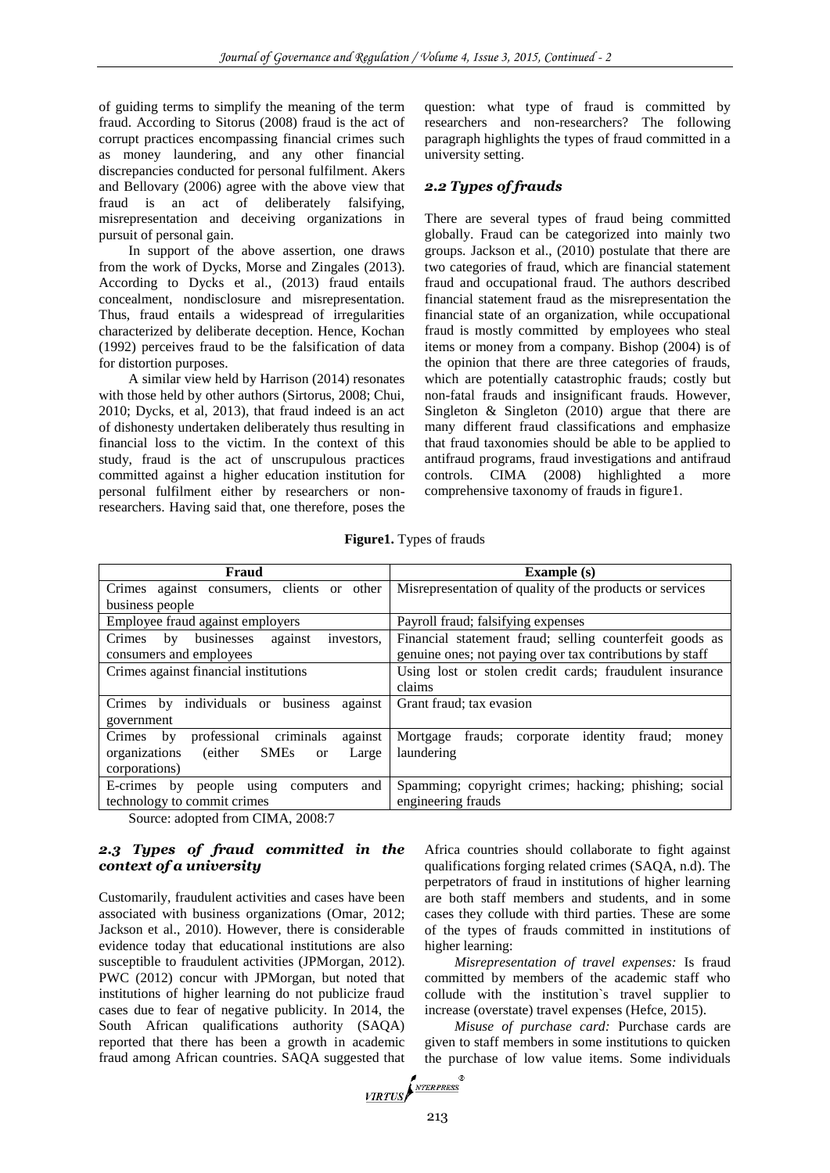of guiding terms to simplify the meaning of the term fraud. According to Sitorus (2008) fraud is the act of corrupt practices encompassing financial crimes such as money laundering, and any other financial discrepancies conducted for personal fulfilment. Akers and Bellovary (2006) agree with the above view that fraud is an act of deliberately falsifying, misrepresentation and deceiving organizations in pursuit of personal gain.

In support of the above assertion, one draws from the work of Dycks, Morse and Zingales (2013). According to Dycks et al., (2013) fraud entails concealment, nondisclosure and misrepresentation. Thus, fraud entails a widespread of irregularities characterized by deliberate deception. Hence, Kochan (1992) perceives fraud to be the falsification of data for distortion purposes.

A similar view held by Harrison (2014) resonates with those held by other authors (Sirtorus, 2008; Chui, 2010; Dycks, et al, 2013), that fraud indeed is an act of dishonesty undertaken deliberately thus resulting in financial loss to the victim. In the context of this study, fraud is the act of unscrupulous practices committed against a higher education institution for personal fulfilment either by researchers or nonresearchers. Having said that, one therefore, poses the

question: what type of fraud is committed by researchers and non-researchers? The following paragraph highlights the types of fraud committed in a university setting.

## *2.2 Types of frauds*

There are several types of fraud being committed globally. Fraud can be categorized into mainly two groups. Jackson et al., (2010) postulate that there are two categories of fraud, which are financial statement fraud and occupational fraud. The authors described financial statement fraud as the misrepresentation the financial state of an organization, while occupational fraud is mostly committed by employees who steal items or money from a company. Bishop (2004) is of the opinion that there are three categories of frauds, which are potentially catastrophic frauds; costly but non-fatal frauds and insignificant frauds. However, Singleton & Singleton (2010) argue that there are many different fraud classifications and emphasize that fraud taxonomies should be able to be applied to antifraud programs, fraud investigations and antifraud controls. CIMA (2008) highlighted a more comprehensive taxonomy of frauds in figure1.

**Figure1.** Types of frauds

| Fraud                                                              | <b>Example</b> (s)                                              |
|--------------------------------------------------------------------|-----------------------------------------------------------------|
| Crimes against consumers, clients or other                         | Misrepresentation of quality of the products or services        |
| business people                                                    |                                                                 |
| Employee fraud against employers                                   | Payroll fraud; falsifying expenses                              |
| against<br>Crimes<br>businesses<br>by<br>investors,                | Financial statement fraud; selling counterfeit goods as         |
| consumers and employees                                            | genuine ones; not paying over tax contributions by staff        |
| Crimes against financial institutions                              | Using lost or stolen credit cards; fraudulent insurance         |
|                                                                    | claims                                                          |
| Crimes by individuals or<br>business<br>against                    | Grant fraud; tax evasion                                        |
| government                                                         |                                                                 |
| criminals<br>professional<br>against<br>Crimes<br>by               | Mortgage<br>identity<br>frauds;<br>corporate<br>fraud:<br>money |
| (either)<br>organizations<br><b>SMEs</b><br>Large<br><sub>or</sub> | laundering                                                      |
| corporations)                                                      |                                                                 |
| and<br>E-crimes by<br>people<br>computers<br>using                 | Spamming; copyright crimes; hacking; phishing; social           |
| technology to commit crimes                                        | engineering frauds                                              |

Source: adopted from CIMA, 2008:7

# *2.3 Types of fraud committed in the context of a university*

Customarily, fraudulent activities and cases have been associated with business organizations (Omar, 2012; Jackson et al., 2010). However, there is considerable evidence today that educational institutions are also susceptible to fraudulent activities (JPMorgan, 2012). PWC (2012) concur with JPMorgan, but noted that institutions of higher learning do not publicize fraud cases due to fear of negative publicity. In 2014, the South African qualifications authority (SAQA) reported that there has been a growth in academic fraud among African countries. SAQA suggested that Africa countries should collaborate to fight against qualifications forging related crimes (SAQA, n.d). The perpetrators of fraud in institutions of higher learning are both staff members and students, and in some cases they collude with third parties. These are some of the types of frauds committed in institutions of higher learning:

*Misrepresentation of travel expenses:* Is fraud committed by members of the academic staff who collude with the institution`s travel supplier to increase (overstate) travel expenses (Hefce, 2015).

*Misuse of purchase card:* Purchase cards are given to staff members in some institutions to quicken the purchase of low value items. Some individuals

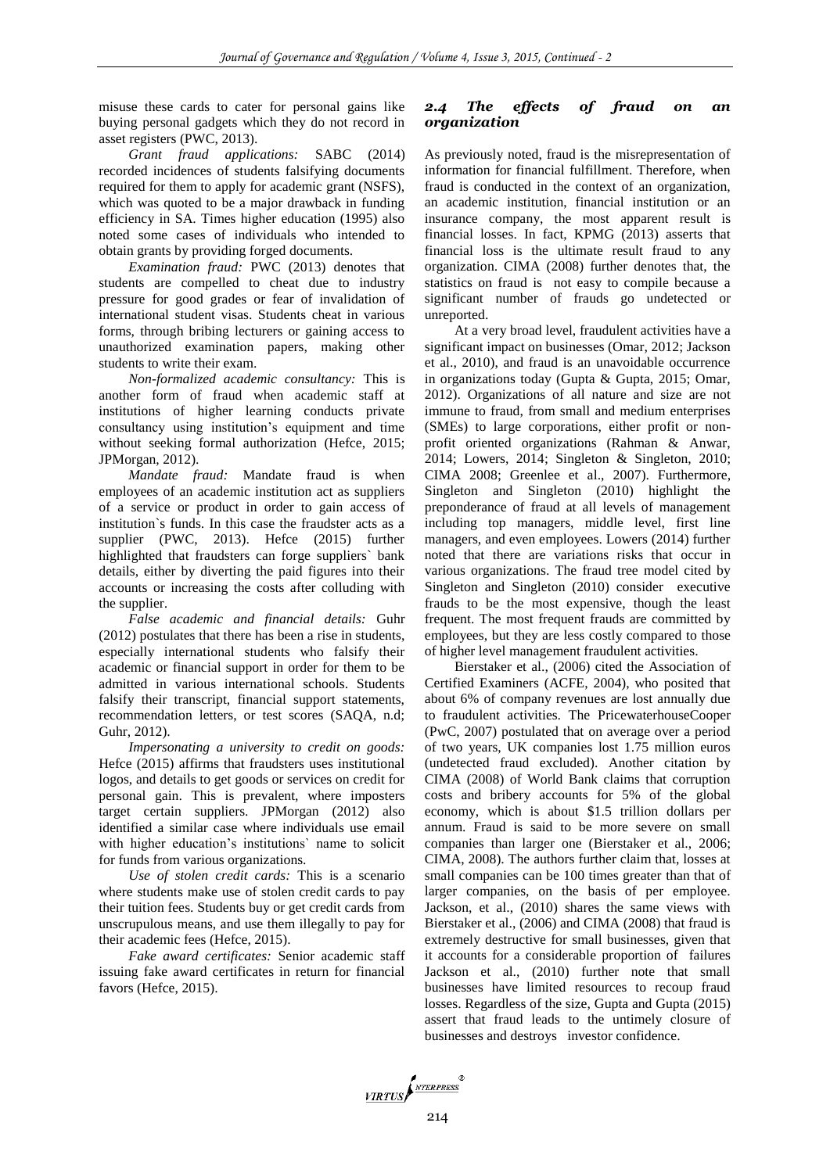misuse these cards to cater for personal gains like buying personal gadgets which they do not record in asset registers (PWC, 2013).

*Grant fraud applications:* SABC (2014) recorded incidences of students falsifying documents required for them to apply for academic grant (NSFS), which was quoted to be a major drawback in funding efficiency in SA. Times higher education (1995) also noted some cases of individuals who intended to obtain grants by providing forged documents.

*Examination fraud:* PWC (2013) denotes that students are compelled to cheat due to industry pressure for good grades or fear of invalidation of international student visas. Students cheat in various forms, through bribing lecturers or gaining access to unauthorized examination papers, making other students to write their exam.

*Non-formalized academic consultancy:* This is another form of fraud when academic staff at institutions of higher learning conducts private consultancy using institution's equipment and time without seeking formal authorization (Hefce, 2015; JPMorgan, 2012).

*Mandate fraud:* Mandate fraud is when employees of an academic institution act as suppliers of a service or product in order to gain access of institution`s funds. In this case the fraudster acts as a supplier (PWC, 2013). Hefce (2015) further highlighted that fraudsters can forge suppliers` bank details, either by diverting the paid figures into their accounts or increasing the costs after colluding with the supplier.

*False academic and financial details:* Guhr (2012) postulates that there has been a rise in students, especially international students who falsify their academic or financial support in order for them to be admitted in various international schools. Students falsify their transcript, financial support statements, recommendation letters, or test scores (SAQA, n.d; Guhr, 2012).

*Impersonating a university to credit on goods:* Hefce (2015) affirms that fraudsters uses institutional logos, and details to get goods or services on credit for personal gain. This is prevalent, where imposters target certain suppliers. JPMorgan (2012) also identified a similar case where individuals use email with higher education's institutions` name to solicit for funds from various organizations.

*Use of stolen credit cards:* This is a scenario where students make use of stolen credit cards to pay their tuition fees. Students buy or get credit cards from unscrupulous means, and use them illegally to pay for their academic fees (Hefce, 2015).

*Fake award certificates:* Senior academic staff issuing fake award certificates in return for financial favors (Hefce, 2015).

# *2.4 The effects of fraud on an organization*

As previously noted, fraud is the misrepresentation of information for financial fulfillment. Therefore, when fraud is conducted in the context of an organization, an academic institution, financial institution or an insurance company, the most apparent result is financial losses. In fact, KPMG (2013) asserts that financial loss is the ultimate result fraud to any organization. CIMA (2008) further denotes that, the statistics on fraud is not easy to compile because a significant number of frauds go undetected or unreported.

At a very broad level, fraudulent activities have a significant impact on businesses (Omar, 2012; Jackson et al., 2010), and fraud is an unavoidable occurrence in organizations today (Gupta & Gupta, 2015; Omar, 2012). Organizations of all nature and size are not immune to fraud, from small and medium enterprises (SMEs) to large corporations, either profit or nonprofit oriented organizations (Rahman & Anwar, 2014; Lowers, 2014; Singleton & Singleton, 2010; CIMA 2008; Greenlee et al., 2007). Furthermore, Singleton and Singleton (2010) highlight the preponderance of fraud at all levels of management including top managers, middle level, first line managers, and even employees. Lowers (2014) further noted that there are variations risks that occur in various organizations. The fraud tree model cited by Singleton and Singleton (2010) consider executive frauds to be the most expensive, though the least frequent. The most frequent frauds are committed by employees, but they are less costly compared to those of higher level management fraudulent activities.

Bierstaker et al., (2006) cited the Association of Certified Examiners (ACFE, 2004), who posited that about 6% of company revenues are lost annually due to fraudulent activities. The PricewaterhouseCooper (PwC, 2007) postulated that on average over a period of two years, UK companies lost 1.75 million euros (undetected fraud excluded). Another citation by CIMA (2008) of World Bank claims that corruption costs and bribery accounts for 5% of the global economy, which is about \$1.5 trillion dollars per annum. Fraud is said to be more severe on small companies than larger one (Bierstaker et al., 2006; CIMA, 2008). The authors further claim that, losses at small companies can be 100 times greater than that of larger companies, on the basis of per employee. Jackson, et al., (2010) shares the same views with Bierstaker et al., (2006) and CIMA (2008) that fraud is extremely destructive for small businesses, given that it accounts for a considerable proportion of failures Jackson et al., (2010) further note that small businesses have limited resources to recoup fraud losses. Regardless of the size, Gupta and Gupta (2015) assert that fraud leads to the untimely closure of businesses and destroys investor confidence.

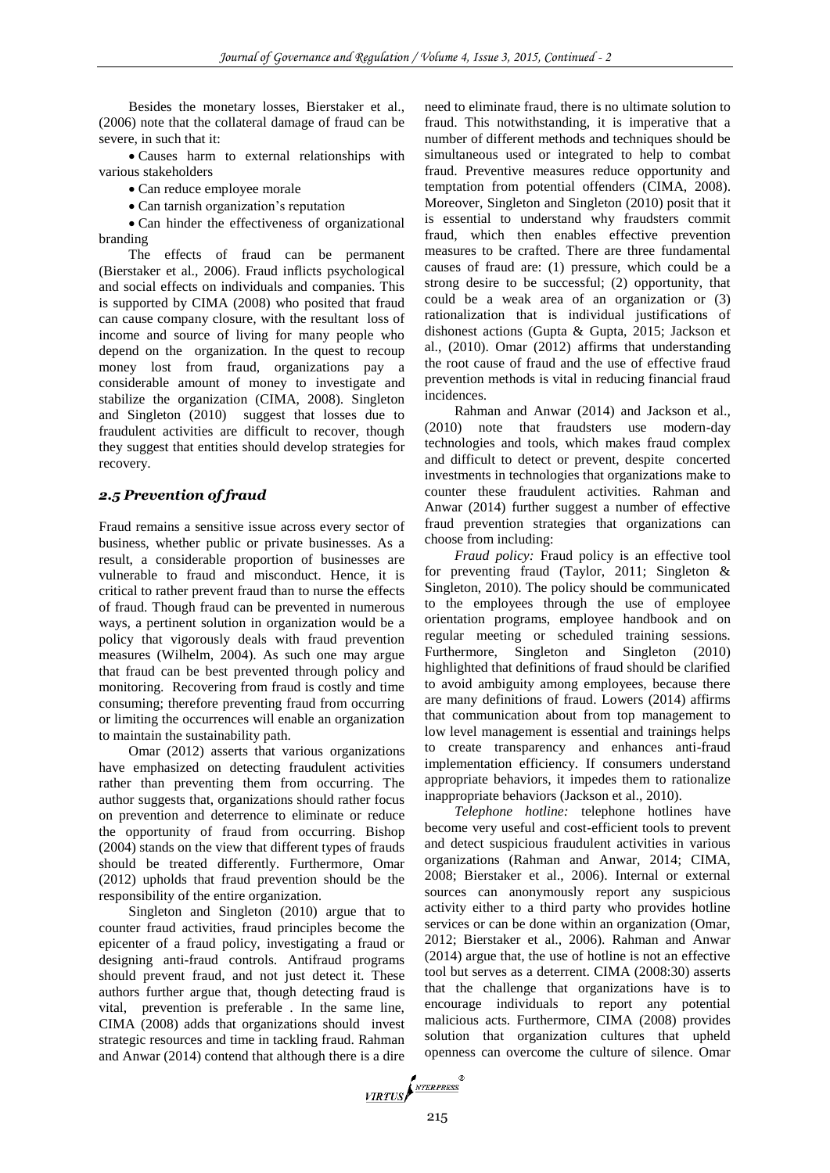Besides the monetary losses, Bierstaker et al., (2006) note that the collateral damage of fraud can be severe, in such that it:

 Causes harm to external relationships with various stakeholders

Can reduce employee morale

Can tarnish organization's reputation

 Can hinder the effectiveness of organizational branding

The effects of fraud can be permanent (Bierstaker et al., 2006). Fraud inflicts psychological and social effects on individuals and companies. This is supported by CIMA (2008) who posited that fraud can cause company closure, with the resultant loss of income and source of living for many people who depend on the organization. In the quest to recoup money lost from fraud, organizations pay a considerable amount of money to investigate and stabilize the organization (CIMA, 2008). Singleton and Singleton (2010) suggest that losses due to fraudulent activities are difficult to recover, though they suggest that entities should develop strategies for recovery.

# *2.5 Prevention of fraud*

Fraud remains a sensitive issue across every sector of business, whether public or private businesses. As a result, a considerable proportion of businesses are vulnerable to fraud and misconduct. Hence, it is critical to rather prevent fraud than to nurse the effects of fraud. Though fraud can be prevented in numerous ways, a pertinent solution in organization would be a policy that vigorously deals with fraud prevention measures (Wilhelm, 2004). As such one may argue that fraud can be best prevented through policy and monitoring. Recovering from fraud is costly and time consuming; therefore preventing fraud from occurring or limiting the occurrences will enable an organization to maintain the sustainability path.

Omar (2012) asserts that various organizations have emphasized on detecting fraudulent activities rather than preventing them from occurring. The author suggests that, organizations should rather focus on prevention and deterrence to eliminate or reduce the opportunity of fraud from occurring. Bishop (2004) stands on the view that different types of frauds should be treated differently. Furthermore, Omar (2012) upholds that fraud prevention should be the responsibility of the entire organization.

Singleton and Singleton (2010) argue that to counter fraud activities, fraud principles become the epicenter of a fraud policy, investigating a fraud or designing anti-fraud controls. Antifraud programs should prevent fraud, and not just detect it. These authors further argue that, though detecting fraud is vital, prevention is preferable . In the same line, CIMA (2008) adds that organizations should invest strategic resources and time in tackling fraud. Rahman and Anwar (2014) contend that although there is a dire

need to eliminate fraud, there is no ultimate solution to fraud. This notwithstanding, it is imperative that a number of different methods and techniques should be simultaneous used or integrated to help to combat fraud. Preventive measures reduce opportunity and temptation from potential offenders (CIMA, 2008). Moreover, Singleton and Singleton (2010) posit that it is essential to understand why fraudsters commit fraud, which then enables effective prevention measures to be crafted. There are three fundamental causes of fraud are: (1) pressure, which could be a strong desire to be successful; (2) opportunity, that could be a weak area of an organization or (3) rationalization that is individual justifications of dishonest actions (Gupta & Gupta, 2015; Jackson et al., (2010). Omar (2012) affirms that understanding the root cause of fraud and the use of effective fraud prevention methods is vital in reducing financial fraud incidences.

Rahman and Anwar (2014) and Jackson et al., (2010) note that fraudsters use modern-day technologies and tools, which makes fraud complex and difficult to detect or prevent, despite concerted investments in technologies that organizations make to counter these fraudulent activities. Rahman and Anwar (2014) further suggest a number of effective fraud prevention strategies that organizations can choose from including:

*Fraud policy:* Fraud policy is an effective tool for preventing fraud (Taylor, 2011; Singleton & Singleton, 2010). The policy should be communicated to the employees through the use of employee orientation programs, employee handbook and on regular meeting or scheduled training sessions. Furthermore, Singleton and Singleton (2010) highlighted that definitions of fraud should be clarified to avoid ambiguity among employees, because there are many definitions of fraud. Lowers (2014) affirms that communication about from top management to low level management is essential and trainings helps to create transparency and enhances anti-fraud implementation efficiency. If consumers understand appropriate behaviors, it impedes them to rationalize inappropriate behaviors (Jackson et al., 2010).

*Telephone hotline:* telephone hotlines have become very useful and cost-efficient tools to prevent and detect suspicious fraudulent activities in various organizations (Rahman and Anwar, 2014; CIMA, 2008; Bierstaker et al., 2006). Internal or external sources can anonymously report any suspicious activity either to a third party who provides hotline services or can be done within an organization (Omar, 2012; Bierstaker et al., 2006). Rahman and Anwar (2014) argue that, the use of hotline is not an effective tool but serves as a deterrent. CIMA (2008:30) asserts that the challenge that organizations have is to encourage individuals to report any potential malicious acts. Furthermore, CIMA (2008) provides solution that organization cultures that upheld openness can overcome the culture of silence. Omar

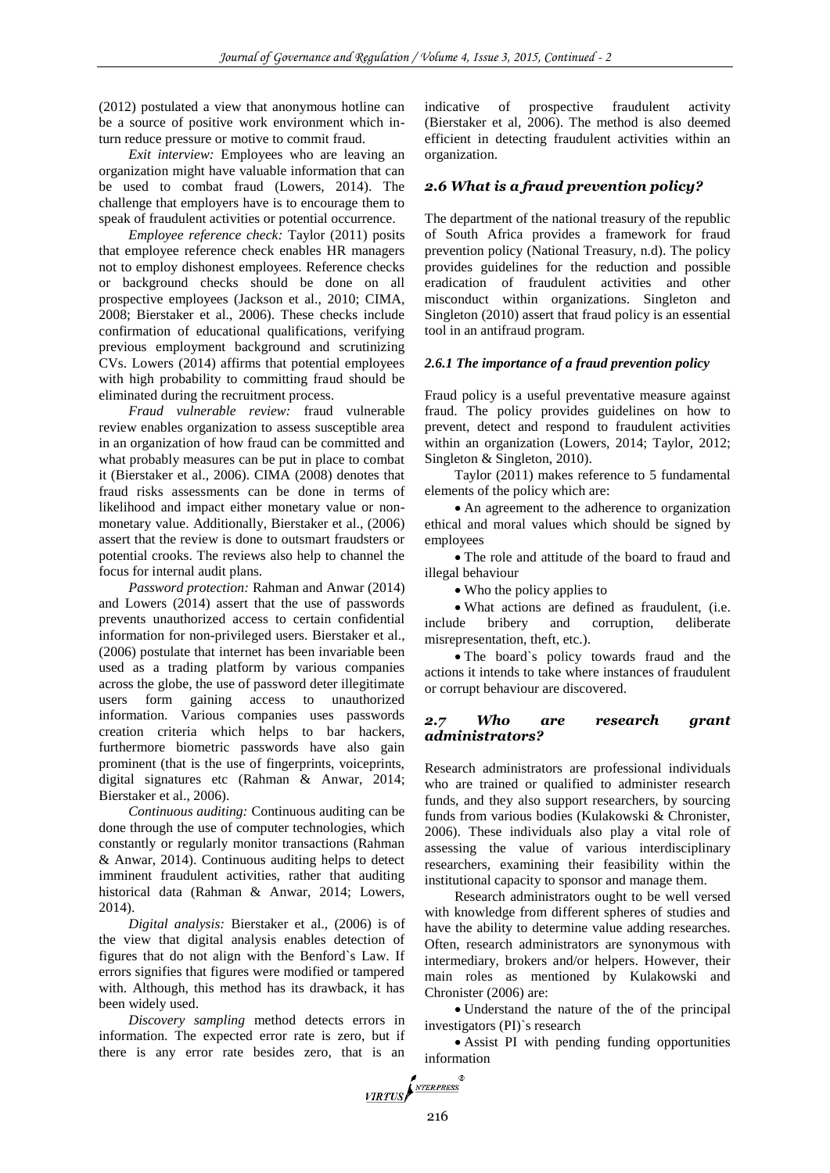(2012) postulated a view that anonymous hotline can be a source of positive work environment which inturn reduce pressure or motive to commit fraud.

*Exit interview:* Employees who are leaving an organization might have valuable information that can be used to combat fraud (Lowers, 2014). The challenge that employers have is to encourage them to speak of fraudulent activities or potential occurrence.

*Employee reference check:* Taylor (2011) posits that employee reference check enables HR managers not to employ dishonest employees. Reference checks or background checks should be done on all prospective employees (Jackson et al., 2010; CIMA, 2008; Bierstaker et al., 2006). These checks include confirmation of educational qualifications, verifying previous employment background and scrutinizing CVs. Lowers (2014) affirms that potential employees with high probability to committing fraud should be eliminated during the recruitment process.

*Fraud vulnerable review:* fraud vulnerable review enables organization to assess susceptible area in an organization of how fraud can be committed and what probably measures can be put in place to combat it (Bierstaker et al., 2006). CIMA (2008) denotes that fraud risks assessments can be done in terms of likelihood and impact either monetary value or nonmonetary value. Additionally, Bierstaker et al., (2006) assert that the review is done to outsmart fraudsters or potential crooks. The reviews also help to channel the focus for internal audit plans.

*Password protection:* Rahman and Anwar (2014) and Lowers (2014) assert that the use of passwords prevents unauthorized access to certain confidential information for non-privileged users. Bierstaker et al., (2006) postulate that internet has been invariable been used as a trading platform by various companies across the globe, the use of password deter illegitimate users form gaining access to unauthorized information. Various companies uses passwords creation criteria which helps to bar hackers, furthermore biometric passwords have also gain prominent (that is the use of fingerprints, voiceprints, digital signatures etc (Rahman & Anwar, 2014; Bierstaker et al., 2006).

*Continuous auditing:* Continuous auditing can be done through the use of computer technologies, which constantly or regularly monitor transactions (Rahman & Anwar, 2014). Continuous auditing helps to detect imminent fraudulent activities, rather that auditing historical data (Rahman & Anwar, 2014; Lowers, 2014).

*Digital analysis:* Bierstaker et al., (2006) is of the view that digital analysis enables detection of figures that do not align with the Benford`s Law. If errors signifies that figures were modified or tampered with. Although, this method has its drawback, it has been widely used.

*Discovery sampling* method detects errors in information. The expected error rate is zero, but if there is any error rate besides zero, that is an indicative of prospective fraudulent activity (Bierstaker et al, 2006). The method is also deemed efficient in detecting fraudulent activities within an organization.

# *2.6 What is a fraud prevention policy?*

The department of the national treasury of the republic of South Africa provides a framework for fraud prevention policy (National Treasury, n.d). The policy provides guidelines for the reduction and possible eradication of fraudulent activities and other misconduct within organizations. Singleton and Singleton (2010) assert that fraud policy is an essential tool in an antifraud program.

## *2.6.1 The importance of a fraud prevention policy*

Fraud policy is a useful preventative measure against fraud. The policy provides guidelines on how to prevent, detect and respond to fraudulent activities within an organization (Lowers, 2014; Taylor, 2012; Singleton & Singleton, 2010).

Taylor (2011) makes reference to 5 fundamental elements of the policy which are:

 An agreement to the adherence to organization ethical and moral values which should be signed by employees

 The role and attitude of the board to fraud and illegal behaviour

• Who the policy applies to

 What actions are defined as fraudulent, (i.e. include bribery and corruption, deliberate misrepresentation, theft, etc.).

 The board`s policy towards fraud and the actions it intends to take where instances of fraudulent or corrupt behaviour are discovered.

#### *2.7 Who are research grant administrators?*

Research administrators are professional individuals who are trained or qualified to administer research funds, and they also support researchers, by sourcing funds from various bodies (Kulakowski & Chronister, 2006). These individuals also play a vital role of assessing the value of various interdisciplinary researchers, examining their feasibility within the institutional capacity to sponsor and manage them.

Research administrators ought to be well versed with knowledge from different spheres of studies and have the ability to determine value adding researches. Often, research administrators are synonymous with intermediary, brokers and/or helpers. However, their main roles as mentioned by Kulakowski and Chronister (2006) are:

 Understand the nature of the of the principal investigators (PI)`s research

 Assist PI with pending funding opportunities information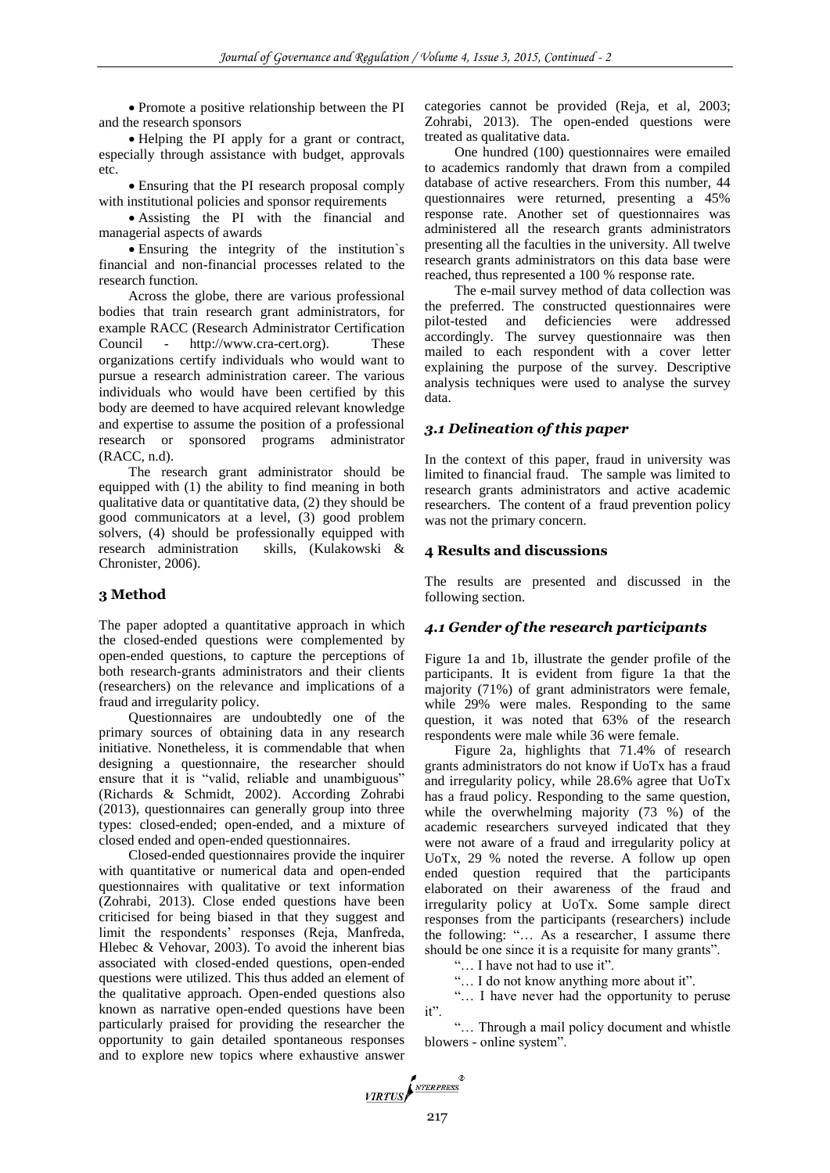Promote a positive relationship between the PI and the research sponsors

 Helping the PI apply for a grant or contract, especially through assistance with budget, approvals etc.

 Ensuring that the PI research proposal comply with institutional policies and sponsor requirements

 Assisting the PI with the financial and managerial aspects of awards

 Ensuring the integrity of the institution`s financial and non-financial processes related to the research function.

Across the globe, there are various professional bodies that train research grant administrators, for example RACC (Research Administrator Certification Council - http://www.cra-cert.org). These organizations certify individuals who would want to pursue a research administration career. The various individuals who would have been certified by this body are deemed to have acquired relevant knowledge and expertise to assume the position of a professional research or sponsored programs administrator (RACC, n.d).

The research grant administrator should be equipped with (1) the ability to find meaning in both qualitative data or quantitative data, (2) they should be good communicators at a level, (3) good problem solvers, (4) should be professionally equipped with research administration skills, (Kulakowski & Chronister, 2006).

# **3 Method**

The paper adopted a quantitative approach in which the closed-ended questions were complemented by open-ended questions, to capture the perceptions of both research-grants administrators and their clients (researchers) on the relevance and implications of a fraud and irregularity policy.

Questionnaires are undoubtedly one of the primary sources of obtaining data in any research initiative. Nonetheless, it is commendable that when designing a questionnaire, the researcher should ensure that it is "valid, reliable and unambiguous" (Richards & Schmidt, 2002). According Zohrabi (2013), questionnaires can generally group into three types: closed-ended; open-ended, and a mixture of closed ended and open-ended questionnaires.

Closed-ended questionnaires provide the inquirer with quantitative or numerical data and open-ended questionnaires with qualitative or text information (Zohrabi, 2013). Close ended questions have been criticised for being biased in that they suggest and limit the respondents' responses (Reja, Manfreda, Hlebec & Vehovar, 2003). To avoid the inherent bias associated with closed-ended questions, open-ended questions were utilized. This thus added an element of the qualitative approach. Open-ended questions also known as narrative open-ended questions have been particularly praised for providing the researcher the opportunity to gain detailed spontaneous responses and to explore new topics where exhaustive answer

categories cannot be provided (Reja, et al, 2003; Zohrabi, 2013). The open-ended questions were treated as qualitative data.

One hundred (100) questionnaires were emailed to academics randomly that drawn from a compiled database of active researchers. From this number, 44 questionnaires were returned, presenting a 45% response rate. Another set of questionnaires was administered all the research grants administrators presenting all the faculties in the university. All twelve research grants administrators on this data base were reached, thus represented a 100 % response rate.

The e-mail survey method of data collection was the preferred. The constructed questionnaires were pilot-tested and deficiencies were addressed accordingly. The survey questionnaire was then mailed to each respondent with a cover letter explaining the purpose of the survey. Descriptive analysis techniques were used to analyse the survey data.

# *3.1 Delineation of this paper*

In the context of this paper, fraud in university was limited to financial fraud. The sample was limited to research grants administrators and active academic researchers. The content of a fraud prevention policy was not the primary concern.

## **4 Results and discussions**

The results are presented and discussed in the following section.

## *4.1 Gender of the research participants*

Figure 1a and 1b, illustrate the gender profile of the participants. It is evident from figure 1a that the majority (71%) of grant administrators were female, while 29% were males. Responding to the same question, it was noted that 63% of the research respondents were male while 36 were female.

Figure 2a, highlights that 71.4% of research grants administrators do not know if UoTx has a fraud and irregularity policy, while 28.6% agree that UoTx has a fraud policy. Responding to the same question, while the overwhelming majority (73 %) of the academic researchers surveyed indicated that they were not aware of a fraud and irregularity policy at UoTx, 29 % noted the reverse. A follow up open ended question required that the participants elaborated on their awareness of the fraud and irregularity policy at UoTx. Some sample direct responses from the participants (researchers) include the following: "… As a researcher, I assume there should be one since it is a requisite for many grants".

"… I have not had to use it".

"… I do not know anything more about it".

"… I have never had the opportunity to peruse it".

"… Through a mail policy document and whistle blowers - online system".

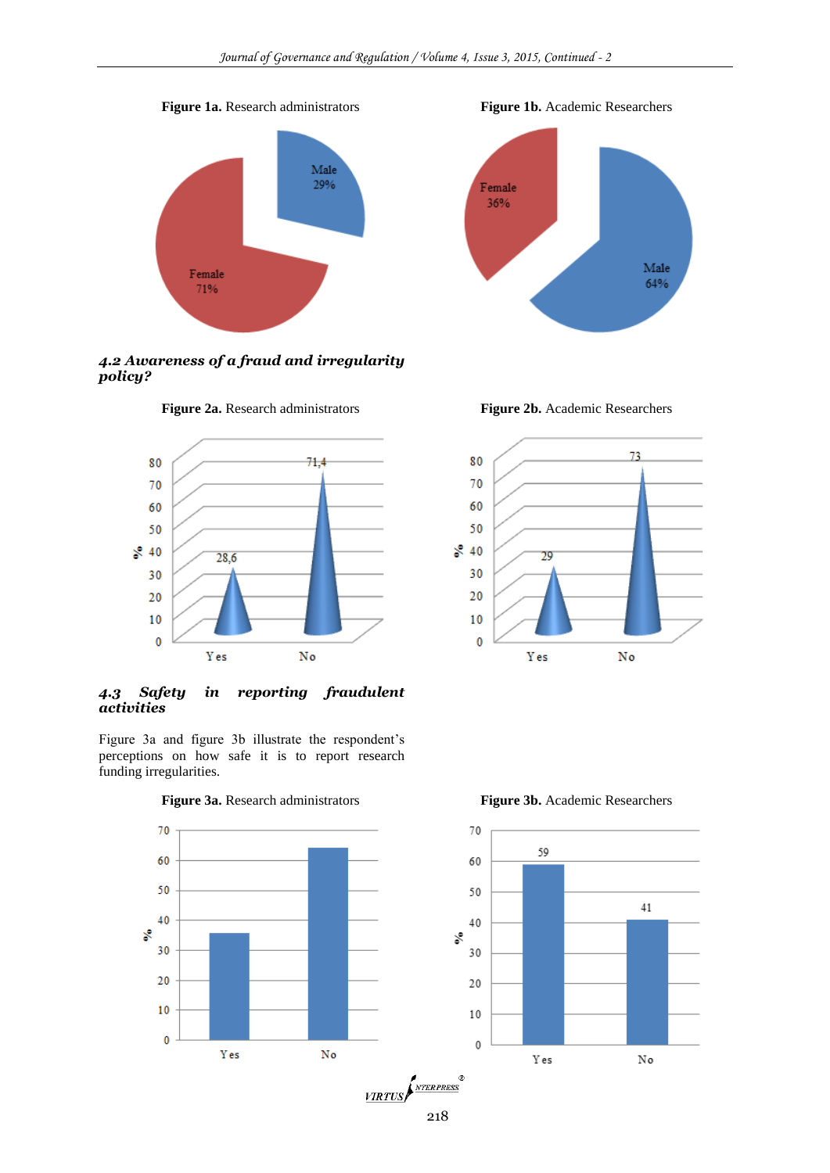#### **Figure 1a.** Research administrators **Figure 1b.** Academic Researchers



*4.2 Awareness of a fraud and irregularity policy?*



*4.3 Safety in reporting fraudulent activities*

Figure 3a and figure 3b illustrate the respondent's perceptions on how safe it is to report research funding irregularities.



**Figure 3a.** Research administrators **Figure 3b.** Academic Researchers



Male

64%

**Figure 2a.** Research administrators **Figure 2b.** Academic Researchers





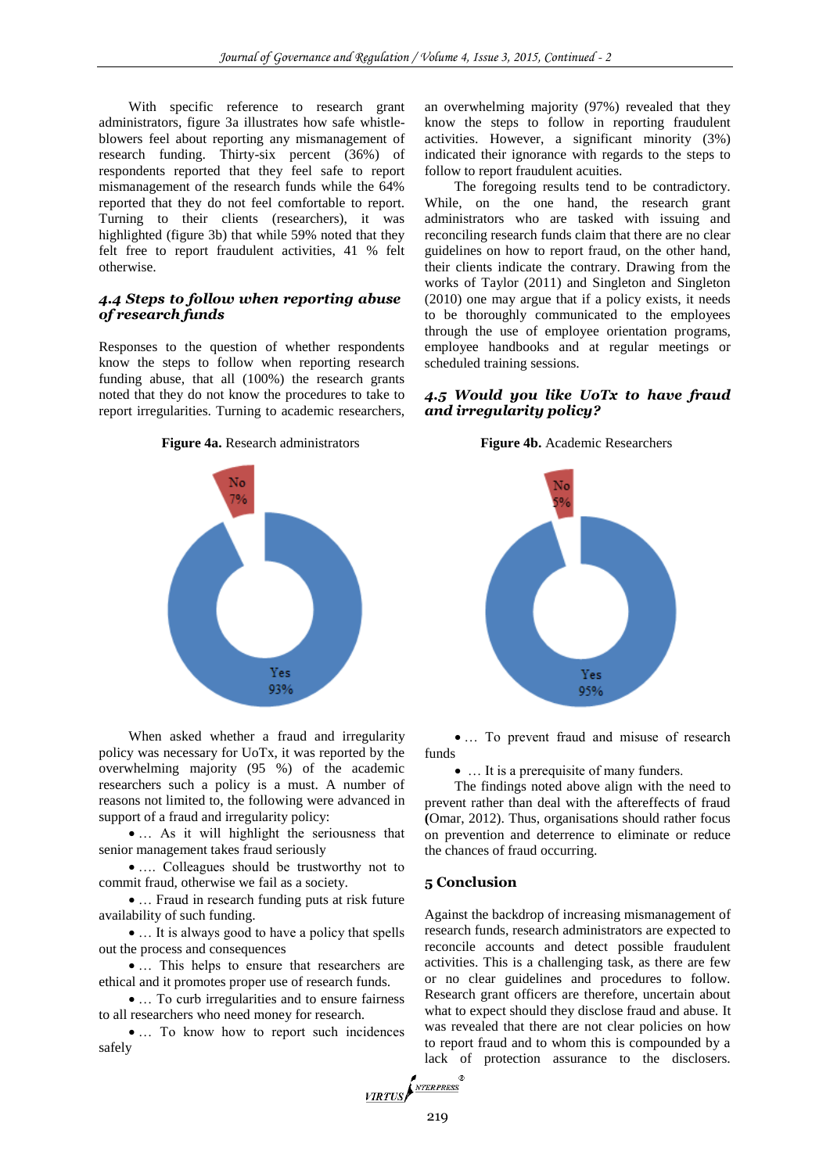With specific reference to research grant administrators, figure 3a illustrates how safe whistleblowers feel about reporting any mismanagement of research funding. Thirty-six percent (36%) of respondents reported that they feel safe to report mismanagement of the research funds while the 64% reported that they do not feel comfortable to report. Turning to their clients (researchers), it was highlighted (figure 3b) that while 59% noted that they felt free to report fraudulent activities, 41 % felt otherwise.

#### *4.4 Steps to follow when reporting abuse of research funds*

Responses to the question of whether respondents know the steps to follow when reporting research funding abuse, that all (100%) the research grants noted that they do not know the procedures to take to report irregularities. Turning to academic researchers,



When asked whether a fraud and irregularity policy was necessary for UoTx, it was reported by the overwhelming majority (95 %) of the academic researchers such a policy is a must. A number of reasons not limited to, the following were advanced in support of a fraud and irregularity policy:

• ... As it will highlight the seriousness that senior management takes fraud seriously

• .... Colleagues should be trustworthy not to commit fraud, otherwise we fail as a society.

• ... Fraud in research funding puts at risk future availability of such funding.

• ... It is always good to have a policy that spells out the process and consequences

 … This helps to ensure that researchers are ethical and it promotes proper use of research funds.

 … To curb irregularities and to ensure fairness to all researchers who need money for research.

• ... To know how to report such incidences safely

an overwhelming majority (97%) revealed that they know the steps to follow in reporting fraudulent activities. However, a significant minority (3%) indicated their ignorance with regards to the steps to follow to report fraudulent acuities.

The foregoing results tend to be contradictory. While, on the one hand, the research grant administrators who are tasked with issuing and reconciling research funds claim that there are no clear guidelines on how to report fraud, on the other hand, their clients indicate the contrary. Drawing from the works of Taylor (2011) and Singleton and Singleton (2010) one may argue that if a policy exists, it needs to be thoroughly communicated to the employees through the use of employee orientation programs, employee handbooks and at regular meetings or scheduled training sessions.

# *4.5 Would you like UoTx to have fraud and irregularity policy?*

**Figure 4a.** Research administrators **Figure 4b.** Academic Researchers



 … To prevent fraud and misuse of research funds

… It is a prerequisite of many funders.

The findings noted above align with the need to prevent rather than deal with the aftereffects of fraud **(**Omar, 2012). Thus, organisations should rather focus on prevention and deterrence to eliminate or reduce the chances of fraud occurring.

#### **5 Conclusion**

Against the backdrop of increasing mismanagement of research funds, research administrators are expected to reconcile accounts and detect possible fraudulent activities. This is a challenging task, as there are few or no clear guidelines and procedures to follow. Research grant officers are therefore, uncertain about what to expect should they disclose fraud and abuse. It was revealed that there are not clear policies on how to report fraud and to whom this is compounded by a lack of protection assurance to the disclosers.

VIRTUS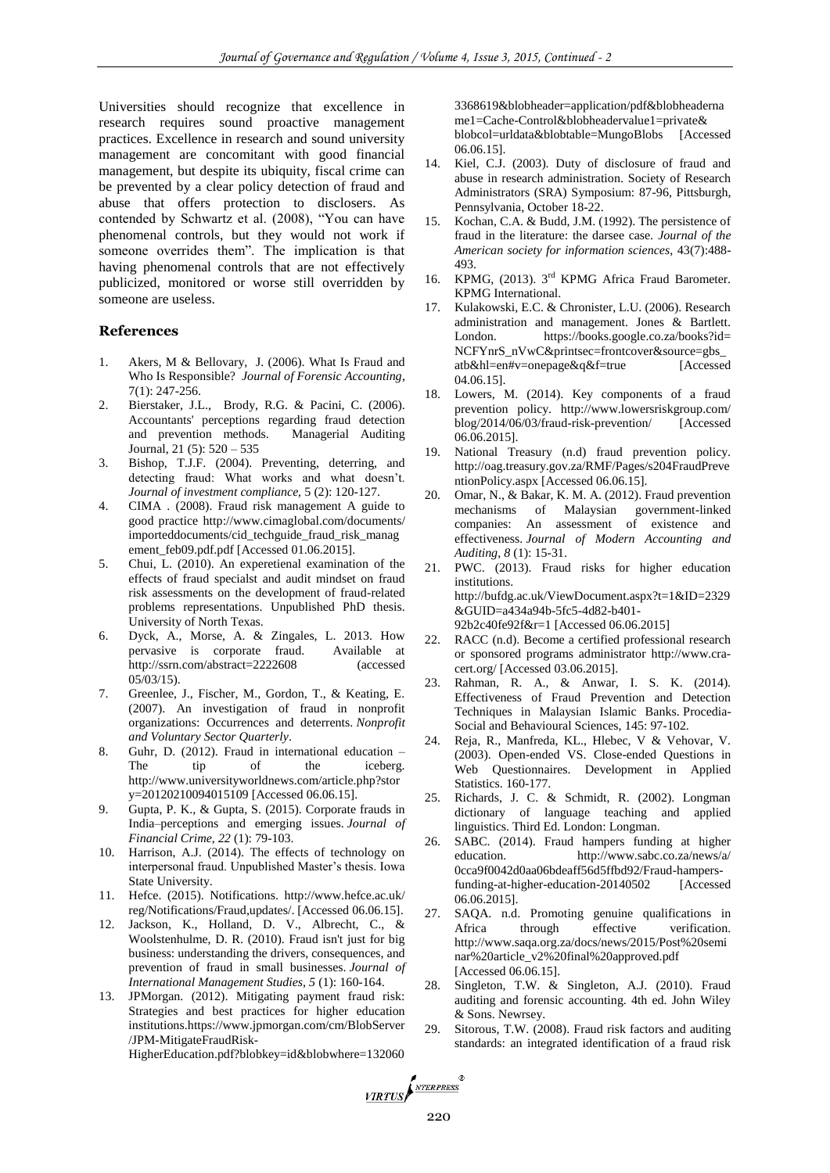Universities should recognize that excellence in research requires sound proactive management practices. Excellence in research and sound university management are concomitant with good financial management, but despite its ubiquity, fiscal crime can be prevented by a clear policy detection of fraud and abuse that offers protection to disclosers. As contended by Schwartz et al. (2008), "You can have phenomenal controls, but they would not work if someone overrides them". The implication is that having phenomenal controls that are not effectively publicized, monitored or worse still overridden by someone are useless.

#### **References**

- 1. Akers, M & Bellovary, J. (2006). What Is Fraud and Who Is Responsible? *Journal of Forensic Accounting*, 7(1): 247-256.
- 2. Bierstaker, J.L., Brody, R.G. & Pacini, C. (2006). Accountants' perceptions regarding fraud detection and prevention methods. Managerial Auditing Journal, 21 (5): 520 – 535
- 3. Bishop, T.J.F. (2004). Preventing, deterring, and detecting fraud: What works and what doesn't. *Journal of investment compliance,* 5 (2): 120-127.
- 4. CIMA . (2008). Fraud risk management A guide to good practice [http://www.cimaglobal.com/documents/](http://www.cimaglobal.com/documents/importeddocuments/cid_techguide_fraud_risk_management_feb09.pdf.pdf) [importeddocuments/cid\\_techguide\\_fraud\\_risk\\_manag](http://www.cimaglobal.com/documents/importeddocuments/cid_techguide_fraud_risk_management_feb09.pdf.pdf) [ement\\_feb09.pdf.pdf](http://www.cimaglobal.com/documents/importeddocuments/cid_techguide_fraud_risk_management_feb09.pdf.pdf) [Accessed 01.06.2015].
- 5. Chui, L. (2010). An experetienal examination of the effects of fraud specialst and audit mindset on fraud risk assessments on the development of fraud-related problems representations. Unpublished PhD thesis. University of North Texas.
- 6. Dyck, A., Morse, A. & Zingales, L. 2013. How pervasive is corporate fraud. Available at <http://ssrn.com/abstract=2222608> (accessed 05/03/15).
- 7. Greenlee, J., Fischer, M., Gordon, T., & Keating, E. (2007). An investigation of fraud in nonprofit organizations: Occurrences and deterrents. *Nonprofit and Voluntary Sector Quarterly*.
- 8. Guhr, D. (2012). Fraud in international education The tip of the iceberg. http://www.universityworldnews.com/article.php?stor y=20120210094015109 [Accessed 06.06.15].
- 9. Gupta, P. K., & Gupta, S. (2015). Corporate frauds in India–perceptions and emerging issues. *Journal of Financial Crime*, *22* (1): 79-103.
- 10. Harrison, A.J. (2014). The effects of technology on interpersonal fraud. Unpublished Master's thesis. Iowa State University.
- 11. Hefce. (2015). Notifications. http://www.hefce.ac.uk/ reg/Notifications/Fraud,updates/. [Accessed 06.06.15].
- 12. Jackson, K., Holland, D. V., Albrecht, C., & Woolstenhulme, D. R. (2010). Fraud isn't just for big business: understanding the drivers, consequences, and prevention of fraud in small businesses. *Journal of International Management Studies*, *5* (1): 160-164.
- 13. JPMorgan. (2012). Mitigating payment fraud risk: Strategies and best practices for higher education institutions.https://www.jpmorgan.com/cm/BlobServer /JPM-MitigateFraudRisk-

HigherEducation.pdf?blobkey=id&blobwhere=132060

3368619&blobheader=application/pdf&blobheaderna me1=Cache-Control&blobheadervalue1=private& blobcol=urldata&blobtable=MungoBlobs [Accessed 06.06.15].

- 14. Kiel, C.J. (2003). Duty of disclosure of fraud and abuse in research administration. Society of Research Administrators (SRA) Symposium: 87-96, Pittsburgh, Pennsylvania, October 18-22.
- 15. Kochan, C.A. & Budd, J.M. (1992). The persistence of fraud in the literature: the darsee case. *Journal of the American society for information sciences*, 43(7):488- 493.
- 16. KPMG, (2013). 3<sup>rd</sup> KPMG Africa Fraud Barometer. KPMG International.
- 17. Kulakowski, E.C. & Chronister, L.U. (2006). Research administration and management. Jones & Bartlett. London. https://books.google.co.za/books?id= NCFYnrS\_nVwC&printsec=frontcover&source=gbs\_ atb&hl=en#v=onepage&q&f=true [Accessed 04.06.15].
- 18. Lowers, M. (2014). Key components of a fraud prevention policy. [http://www.lowersriskgroup.com/](http://www.lowersriskgroup.com/blog/2014/06/03/fraud-risk-prevention/) [blog/2014/06/03/fraud-risk-prevention/](http://www.lowersriskgroup.com/blog/2014/06/03/fraud-risk-prevention/) [Accessed 06.06.2015].
- 19. National Treasury (n.d) fraud prevention policy. [http://oag.treasury.gov.za/RMF/Pages/s204FraudPreve](http://oag.treasury.gov.za/RMF/Pages/s204FraudPreventionPolicy.aspx) [ntionPolicy.aspx](http://oag.treasury.gov.za/RMF/Pages/s204FraudPreventionPolicy.aspx) [Accessed 06.06.15].
- 20. Omar, N., & Bakar, K. M. A. (2012). Fraud prevention mechanisms of Malaysian government-linked companies: An assessment of existence and effectiveness. *Journal of Modern Accounting and Auditing*, *8* (1): 15-31.
- 21. PWC. (2013). Fraud risks for higher education institutions. [http://bufdg.ac.uk/ViewDocument.aspx?t=1&ID=2329](http://bufdg.ac.uk/ViewDocument.aspx?t=1&ID=2329&GUID=a434a94b-5fc5-4d82-b401-92b2c40fe92f&r=1)

[&GUID=a434a94b-5fc5-4d82-b401-](http://bufdg.ac.uk/ViewDocument.aspx?t=1&ID=2329&GUID=a434a94b-5fc5-4d82-b401-92b2c40fe92f&r=1)

- [92b2c40fe92f&r=1](http://bufdg.ac.uk/ViewDocument.aspx?t=1&ID=2329&GUID=a434a94b-5fc5-4d82-b401-92b2c40fe92f&r=1) [Accessed 06.06.2015]
- 22. RACC (n.d). Become a certified professional research or sponsored programs administrator [http://www.cra](http://www.cra-cert.org/)[cert.org/](http://www.cra-cert.org/) [Accessed 03.06.2015].
- 23. Rahman, R. A., & Anwar, I. S. K. (2014). Effectiveness of Fraud Prevention and Detection Techniques in Malaysian Islamic Banks. Procedia-Social and Behavioural Sciences, 145: 97-102.
- 24. Reja, R., Manfreda, KL., Hlebec, V & Vehovar, V. (2003). Open-ended VS. Close-ended Questions in Web Questionnaires. Development in Applied Statistics. 160-177.
- 25. Richards, J. C. & Schmidt, R. (2002). Longman dictionary of language teaching and applied linguistics. Third Ed. London: Longman.
- 26. SABC. (2014). Fraud hampers funding at higher education. [http://www.sabc.co.za/news/a/](http://www.sabc.co.za/news/a/0cca9f0042d0aa06bdeaff56d5ffbd92/Fraud-hampers-funding-at-higher-education-20140502) [0cca9f0042d0aa06bdeaff56d5ffbd92/Fraud-hampers](http://www.sabc.co.za/news/a/0cca9f0042d0aa06bdeaff56d5ffbd92/Fraud-hampers-funding-at-higher-education-20140502)[funding-at-higher-education-20140502](http://www.sabc.co.za/news/a/0cca9f0042d0aa06bdeaff56d5ffbd92/Fraud-hampers-funding-at-higher-education-20140502) [Accessed 06.06.2015].
- 27. SAQA. n.d. Promoting genuine qualifications in Africa through effective verification. [http://www.saqa.org.za/docs/news/2015/Post%20semi](http://www.saqa.org.za/docs/news/2015/Post%20seminar%20article_v2%20final%20approved.pdf) [nar%20article\\_v2%20final%20approved.pdf](http://www.saqa.org.za/docs/news/2015/Post%20seminar%20article_v2%20final%20approved.pdf) [Accessed 06.06.15].
- 28. Singleton, T.W. & Singleton, A.J. (2010). Fraud auditing and forensic accounting. 4th ed. John Wiley & Sons. Newrsey.
- 29. Sitorous, T.W. (2008). Fraud risk factors and auditing standards: an integrated identification of a fraud risk

VIRTUS